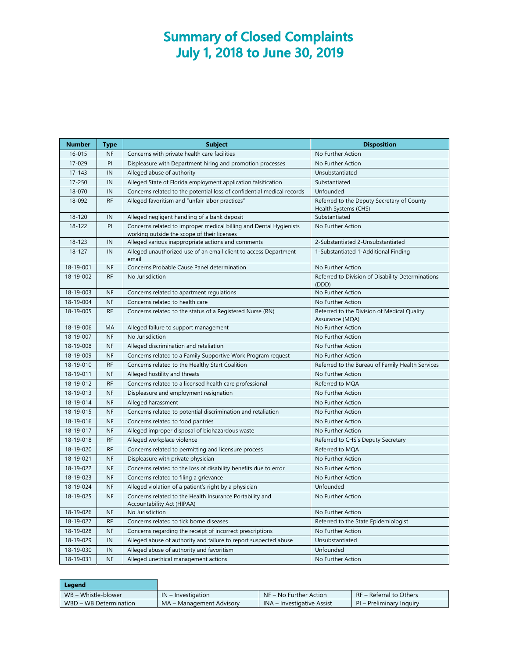## **Summary of Closed Complaints July 1, 2018 to June 30, 2019**

| <b>Number</b> | <b>Type</b> | <b>Subject</b>                                                                                                    | <b>Disposition</b>                                                 |  |
|---------------|-------------|-------------------------------------------------------------------------------------------------------------------|--------------------------------------------------------------------|--|
| 16-015        | <b>NF</b>   | Concerns with private health care facilities                                                                      | No Further Action                                                  |  |
| 17-029        | PI          | Displeasure with Department hiring and promotion processes                                                        | No Further Action                                                  |  |
| $17 - 143$    | IN          | Alleged abuse of authority                                                                                        | Unsubstantiated                                                    |  |
| 17-250        | IN          | Alleged State of Florida employment application falsification                                                     | Substantiated                                                      |  |
| 18-070        | IN          | Concerns related to the potential loss of confidential medical records                                            | Unfounded                                                          |  |
| 18-092        | <b>RF</b>   | Alleged favoritism and "unfair labor practices"                                                                   | Referred to the Deputy Secretary of County<br>Health Systems (CHS) |  |
| 18-120        | IN          | Alleged negligent handling of a bank deposit                                                                      | Substantiated                                                      |  |
| 18-122        | PI          | Concerns related to improper medical billing and Dental Hygienists<br>working outside the scope of their licenses | No Further Action                                                  |  |
| 18-123        | IN          | Alleged various inappropriate actions and comments                                                                | 2-Substantiated 2-Unsubstantiated                                  |  |
| $18 - 127$    | IN          | Alleged unauthorized use of an email client to access Department<br>email                                         | 1-Substantiated 1-Additional Finding                               |  |
| 18-19-001     | <b>NF</b>   | Concerns Probable Cause Panel determination                                                                       | No Further Action                                                  |  |
| 18-19-002     | <b>RF</b>   | No Jurisdiction                                                                                                   | Referred to Division of Disability Determinations                  |  |
|               |             |                                                                                                                   | (DDD)                                                              |  |
| 18-19-003     | <b>NF</b>   | Concerns related to apartment regulations                                                                         | No Further Action                                                  |  |
| 18-19-004     | <b>NF</b>   | Concerns related to health care                                                                                   | No Further Action                                                  |  |
| 18-19-005     | <b>RF</b>   | Concerns related to the status of a Registered Nurse (RN)                                                         | Referred to the Division of Medical Quality<br>Assurance (MQA)     |  |
| 18-19-006     | MA          | Alleged failure to support management                                                                             | No Further Action                                                  |  |
| 18-19-007     | <b>NF</b>   | No Jurisdiction                                                                                                   | No Further Action                                                  |  |
| 18-19-008     | <b>NF</b>   | Alleged discrimination and retaliation                                                                            | No Further Action                                                  |  |
| 18-19-009     | <b>NF</b>   | Concerns related to a Family Supportive Work Program request                                                      | No Further Action                                                  |  |
| 18-19-010     | <b>RF</b>   | Concerns related to the Healthy Start Coalition                                                                   | Referred to the Bureau of Family Health Services                   |  |
| 18-19-011     | <b>NF</b>   | Alleged hostility and threats                                                                                     | No Further Action                                                  |  |
| 18-19-012     | <b>RF</b>   | Concerns related to a licensed health care professional                                                           | Referred to MQA                                                    |  |
| 18-19-013     | <b>NF</b>   | Displeasure and employment resignation                                                                            | No Further Action                                                  |  |
| 18-19-014     | <b>NF</b>   | Alleged harassment                                                                                                | No Further Action                                                  |  |
| 18-19-015     | <b>NF</b>   | Concerns related to potential discrimination and retaliation                                                      | No Further Action                                                  |  |
| 18-19-016     | <b>NF</b>   | Concerns related to food pantries                                                                                 | No Further Action                                                  |  |
| 18-19-017     | <b>NF</b>   | Alleged improper disposal of biohazardous waste                                                                   | No Further Action                                                  |  |
| 18-19-018     | <b>RF</b>   | Alleged workplace violence                                                                                        | Referred to CHS's Deputy Secretary                                 |  |
| 18-19-020     | <b>RF</b>   | Concerns related to permitting and licensure process                                                              | Referred to MQA                                                    |  |
| 18-19-021     | <b>NF</b>   | Displeasure with private physician                                                                                | No Further Action                                                  |  |
| 18-19-022     | <b>NF</b>   | Concerns related to the loss of disability benefits due to error                                                  | No Further Action                                                  |  |
| 18-19-023     | <b>NF</b>   | Concerns related to filing a grievance                                                                            | No Further Action                                                  |  |
| 18-19-024     | <b>NF</b>   | Alleged violation of a patient's right by a physician                                                             | Unfounded                                                          |  |
| 18-19-025     | <b>NF</b>   | Concerns related to the Health Insurance Portability and<br>Accountability Act (HIPAA)                            | No Further Action                                                  |  |
| 18-19-026     | <b>NF</b>   | No Jurisdiction                                                                                                   | No Further Action                                                  |  |
| 18-19-027     | <b>RF</b>   | Concerns related to tick borne diseases                                                                           | Referred to the State Epidemiologist                               |  |
| 18-19-028     | <b>NF</b>   | Concerns regarding the receipt of incorrect prescriptions                                                         | No Further Action                                                  |  |
| 18-19-029     | IN          | Alleged abuse of authority and failure to report suspected abuse                                                  | Unsubstantiated                                                    |  |
| 18-19-030     | IN          | Alleged abuse of authority and favoritism                                                                         | Unfounded                                                          |  |
| 18-19-031     | <b>NF</b>   | Alleged unethical management actions                                                                              | No Further Action                                                  |  |

| Leaend                 |                          |                            |                          |
|------------------------|--------------------------|----------------------------|--------------------------|
| WB – Whistle-blower    | $IN$ – Investigation     | NF – No Further Action     | RF - Referral to Others  |
| WBD - WB Determination | MA – Management Advisory | INA – Investigative Assist | PI – Preliminary Inquiry |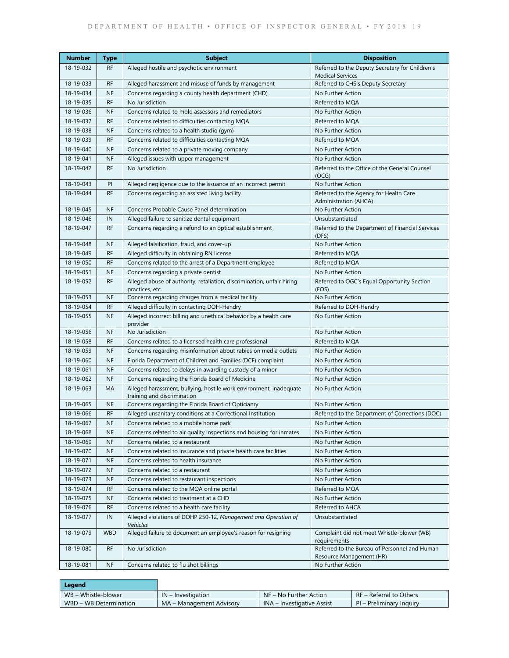| <b>Number</b>          | <b>Type</b>            | <b>Subject</b>                                                                                    | <b>Disposition</b>                                                        |
|------------------------|------------------------|---------------------------------------------------------------------------------------------------|---------------------------------------------------------------------------|
| 18-19-032              | <b>RF</b>              | Alleged hostile and psychotic environment                                                         | Referred to the Deputy Secretary for Children's                           |
|                        |                        |                                                                                                   | <b>Medical Services</b>                                                   |
| 18-19-033              | <b>RF</b>              | Alleged harassment and misuse of funds by management                                              | Referred to CHS's Deputy Secretary                                        |
| 18-19-034<br>18-19-035 | <b>NF</b>              | Concerns regarding a county health department (CHD)                                               | No Further Action                                                         |
|                        | <b>RF</b>              | No Jurisdiction                                                                                   | Referred to MQA                                                           |
| 18-19-036              | <b>NF</b><br><b>RF</b> | Concerns related to mold assessors and remediators                                                | No Further Action                                                         |
| 18-19-037              | <b>NF</b>              | Concerns related to difficulties contacting MQA                                                   | Referred to MQA                                                           |
| 18-19-038              | <b>RF</b>              | Concerns related to a health studio (gym)<br>Concerns related to difficulties contacting MQA      | No Further Action                                                         |
| 18-19-039<br>18-19-040 | <b>NF</b>              |                                                                                                   | Referred to MQA<br>No Further Action                                      |
| 18-19-041              | <b>NF</b>              | Concerns related to a private moving company<br>Alleged issues with upper management              | No Further Action                                                         |
| 18-19-042              | <b>RF</b>              | No Jurisdiction                                                                                   | Referred to the Office of the General Counsel                             |
|                        |                        |                                                                                                   | (OCG)                                                                     |
| 18-19-043              | PI                     | Alleged negligence due to the issuance of an incorrect permit                                     | No Further Action                                                         |
| 18-19-044              | <b>RF</b>              | Concerns regarding an assisted living facility                                                    | Referred to the Agency for Health Care<br>Administration (AHCA)           |
| 18-19-045              | <b>NF</b>              | Concerns Probable Cause Panel determination                                                       | No Further Action                                                         |
| 18-19-046              | IN                     | Alleged failure to sanitize dental equipment                                                      | Unsubstantiated                                                           |
| 18-19-047              | <b>RF</b>              | Concerns regarding a refund to an optical establishment                                           | Referred to the Department of Financial Services<br>(DFS)                 |
| 18-19-048              | <b>NF</b>              | Alleged falsification, fraud, and cover-up                                                        | No Further Action                                                         |
| 18-19-049              | <b>RF</b>              | Alleged difficulty in obtaining RN license                                                        | Referred to MQA                                                           |
| 18-19-050              | RF                     | Concerns related to the arrest of a Department employee                                           | Referred to MOA                                                           |
| 18-19-051              | NF                     | Concerns regarding a private dentist                                                              | No Further Action                                                         |
| 18-19-052              | <b>RF</b>              | Alleged abuse of authority, retaliation, discrimination, unfair hiring<br>practices, etc.         | Referred to OGC's Equal Opportunity Section<br>(EOS)                      |
| 18-19-053              | <b>NF</b>              | Concerns regarding charges from a medical facility                                                | No Further Action                                                         |
| 18-19-054              | <b>RF</b>              | Alleged difficulty in contacting DOH-Hendry                                                       | Referred to DOH-Hendry                                                    |
| 18-19-055              | <b>NF</b>              | Alleged incorrect billing and unethical behavior by a health care<br>provider                     | No Further Action                                                         |
| 18-19-056              | <b>NF</b>              | No Jurisdiction                                                                                   | No Further Action                                                         |
| 18-19-058              | <b>RF</b>              | Concerns related to a licensed health care professional                                           | Referred to MQA                                                           |
| 18-19-059              | <b>NF</b>              | Concerns regarding misinformation about rabies on media outlets                                   | No Further Action                                                         |
| 18-19-060              | <b>NF</b>              | Florida Department of Children and Families (DCF) complaint                                       | No Further Action                                                         |
| 18-19-061              | <b>NF</b>              | Concerns related to delays in awarding custody of a minor                                         | No Further Action                                                         |
| 18-19-062              | <b>NF</b>              | Concerns regarding the Florida Board of Medicine                                                  | No Further Action                                                         |
| 18-19-063              | МA                     | Alleged harassment, bullying, hostile work environment, inadequate<br>training and discrimination | No Further Action                                                         |
| 18-19-065              | <b>NF</b>              | Concerns regarding the Florida Board of Opticianry                                                | No Further Action                                                         |
| 18-19-066              | <b>RF</b>              | Alleged unsanitary conditions at a Correctional Institution                                       | Referred to the Department of Corrections (DOC)                           |
| 18-19-067              | $\sf{NF}$              | Concerns related to a mobile home park                                                            | No Further Action                                                         |
| 18-19-068              | <b>NF</b>              | Concerns related to air quality inspections and housing for inmates                               | No Further Action                                                         |
| 18-19-069              | <b>NF</b>              | Concerns related to a restaurant                                                                  | No Further Action                                                         |
| 18-19-070              | <b>NF</b>              | Concerns related to insurance and private health care facilities                                  | No Further Action                                                         |
| 18-19-071              | <b>NF</b>              | Concerns related to health insurance                                                              | No Further Action                                                         |
| 18-19-072              | <b>NF</b>              | Concerns related to a restaurant                                                                  | No Further Action                                                         |
| 18-19-073              | <b>NF</b>              | Concerns related to restaurant inspections                                                        | No Further Action                                                         |
| 18-19-074              | RF                     | Concerns related to the MQA online portal                                                         | Referred to MQA                                                           |
| 18-19-075              | NF                     | Concerns related to treatment at a CHD                                                            | No Further Action                                                         |
| 18-19-076              | RF                     | Concerns related to a health care facility                                                        | Referred to AHCA                                                          |
| 18-19-077              | IN                     | Alleged violations of DOHP 250-12, Management and Operation of<br>Vehicles                        | Unsubstantiated                                                           |
| 18-19-079              | <b>WBD</b>             | Alleged failure to document an employee's reason for resigning                                    | Complaint did not meet Whistle-blower (WB)<br>requirements                |
| 18-19-080              | RF                     | No Jurisdiction                                                                                   | Referred to the Bureau of Personnel and Human<br>Resource Management (HR) |
| 18-19-081              | <b>NF</b>              | Concerns related to flu shot billings                                                             | No Further Action                                                         |

| Legend                 |                          |                            |                          |
|------------------------|--------------------------|----------------------------|--------------------------|
| WB - Whistle-blower    | $IN$ – Investigation     | $NF - No Further Action$   | RF - Referral to Others  |
| WBD – WB Determination | MA – Management Advisory | INA – Investigative Assist | PI – Preliminary Inquiry |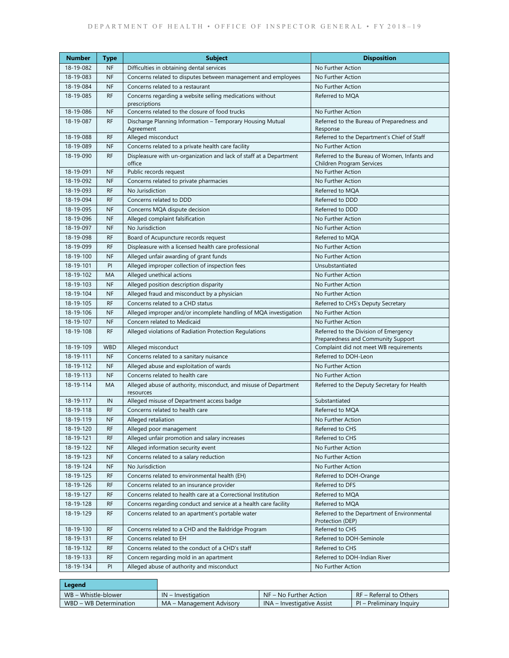| <b>Number</b> | <b>Type</b> | <b>Subject</b>                                                                | <b>Disposition</b>                                                          |  |
|---------------|-------------|-------------------------------------------------------------------------------|-----------------------------------------------------------------------------|--|
| 18-19-082     | NF          | Difficulties in obtaining dental services                                     | No Further Action                                                           |  |
| 18-19-083     | <b>NF</b>   | Concerns related to disputes between management and employees                 | No Further Action                                                           |  |
| 18-19-084     | <b>NF</b>   | Concerns related to a restaurant                                              | No Further Action                                                           |  |
| 18-19-085     | <b>RF</b>   | Concerns regarding a website selling medications without<br>prescriptions     | Referred to MOA                                                             |  |
| 18-19-086     | <b>NF</b>   | Concerns related to the closure of food trucks                                | No Further Action                                                           |  |
| 18-19-087     | <b>RF</b>   | Discharge Planning Information - Temporary Housing Mutual<br>Agreement        | Referred to the Bureau of Preparedness and<br>Response                      |  |
| 18-19-088     | <b>RF</b>   | Alleged misconduct                                                            | Referred to the Department's Chief of Staff                                 |  |
| 18-19-089     | <b>NF</b>   | Concerns related to a private health care facility                            | No Further Action                                                           |  |
| 18-19-090     | <b>RF</b>   | Displeasure with un-organization and lack of staff at a Department<br>office  | Referred to the Bureau of Women, Infants and<br>Children Program Services   |  |
| 18-19-091     | <b>NF</b>   | Public records request                                                        | No Further Action                                                           |  |
| 18-19-092     | <b>NF</b>   | Concerns related to private pharmacies                                        | No Further Action                                                           |  |
| 18-19-093     | <b>RF</b>   | No Jurisdiction                                                               | Referred to MQA                                                             |  |
| 18-19-094     | <b>RF</b>   | Concerns related to DDD                                                       | Referred to DDD                                                             |  |
| 18-19-095     | <b>NF</b>   | Concerns MQA dispute decision                                                 | Referred to DDD                                                             |  |
| 18-19-096     | <b>NF</b>   | Alleged complaint falsification                                               | No Further Action                                                           |  |
| 18-19-097     | <b>NF</b>   | No Jurisdiction                                                               | No Further Action                                                           |  |
| 18-19-098     | <b>RF</b>   | Board of Acupuncture records request                                          | Referred to MQA                                                             |  |
| 18-19-099     | <b>RF</b>   | Displeasure with a licensed health care professional                          | No Further Action                                                           |  |
| 18-19-100     | <b>NF</b>   | Alleged unfair awarding of grant funds                                        | No Further Action                                                           |  |
| 18-19-101     | PI          | Alleged improper collection of inspection fees                                | Unsubstantiated                                                             |  |
| 18-19-102     | MA          | Alleged unethical actions                                                     | No Further Action                                                           |  |
| 18-19-103     | <b>NF</b>   | Alleged position description disparity                                        | No Further Action                                                           |  |
| 18-19-104     | <b>NF</b>   | Alleged fraud and misconduct by a physician                                   | No Further Action                                                           |  |
| 18-19-105     | <b>RF</b>   | Concerns related to a CHD status                                              | Referred to CHS's Deputy Secretary                                          |  |
| 18-19-106     | <b>NF</b>   | Alleged improper and/or incomplete handling of MQA investigation              | No Further Action                                                           |  |
| 18-19-107     | <b>NF</b>   | Concern related to Medicaid                                                   | No Further Action                                                           |  |
| 18-19-108     | <b>RF</b>   | Alleged violations of Radiation Protection Regulations                        | Referred to the Division of Emergency<br>Preparedness and Community Support |  |
| 18-19-109     | <b>WBD</b>  | Alleged misconduct                                                            | Complaint did not meet WB requirements                                      |  |
| 18-19-111     | <b>NF</b>   | Concerns related to a sanitary nuisance                                       | Referred to DOH-Leon                                                        |  |
| 18-19-112     | <b>NF</b>   | Alleged abuse and exploitation of wards                                       | No Further Action                                                           |  |
| 18-19-113     | <b>NF</b>   | Concerns related to health care                                               | No Further Action                                                           |  |
| 18-19-114     | MA          | Alleged abuse of authority, misconduct, and misuse of Department<br>resources | Referred to the Deputy Secretary for Health                                 |  |
| 18-19-117     | IN          | Alleged misuse of Department access badge                                     | Substantiated                                                               |  |
| 18-19-118     | <b>RF</b>   | Concerns related to health care                                               | Referred to MQA                                                             |  |
| 18-19-119     | <b>NF</b>   | Alleged retaliation                                                           | No Further Action                                                           |  |
| 18-19-120     | <b>RF</b>   | Alleged poor management                                                       | Referred to CHS                                                             |  |
| 18-19-121     | RF          | Alleged unfair promotion and salary increases                                 | Referred to CHS                                                             |  |
| 18-19-122     | <b>NF</b>   | Alleged information security event                                            | No Further Action                                                           |  |
| 18-19-123     | <b>NF</b>   | Concerns related to a salary reduction                                        | No Further Action                                                           |  |
| 18-19-124     | <b>NF</b>   | No Jurisdiction                                                               | No Further Action                                                           |  |
| 18-19-125     | <b>RF</b>   | Concerns related to environmental health (EH)                                 | Referred to DOH-Orange                                                      |  |
| 18-19-126     | <b>RF</b>   | Concerns related to an insurance provider                                     | Referred to DFS                                                             |  |
| 18-19-127     | <b>RF</b>   | Concerns related to health care at a Correctional Institution                 | Referred to MQA                                                             |  |
| 18-19-128     | <b>RF</b>   | Concerns regarding conduct and service at a health care facility              | Referred to MQA                                                             |  |
| 18-19-129     | <b>RF</b>   | Concerns related to an apartment's portable water                             | Referred to the Department of Environmental<br>Protection (DEP)             |  |
| 18-19-130     | <b>RF</b>   | Concerns related to a CHD and the Baldridge Program                           | Referred to CHS                                                             |  |
| 18-19-131     | RF          | Concerns related to EH                                                        | Referred to DOH-Seminole                                                    |  |
| 18-19-132     | <b>RF</b>   | Concerns related to the conduct of a CHD's staff                              | Referred to CHS                                                             |  |
| 18-19-133     | RF          | Concern regarding mold in an apartment                                        | Referred to DOH-Indian River                                                |  |
| 18-19-134     | PI          | Alleged abuse of authority and misconduct                                     | No Further Action                                                           |  |

| Legend                 |                          |                            |                          |
|------------------------|--------------------------|----------------------------|--------------------------|
| WB – Whistle-blower    | $IN$ – Investigation     | $N = No$ Further Action    | RF – Referral to Others  |
| WBD - WB Determination | MA – Management Advisory | INA – Investigative Assist | PI – Preliminary Inquiry |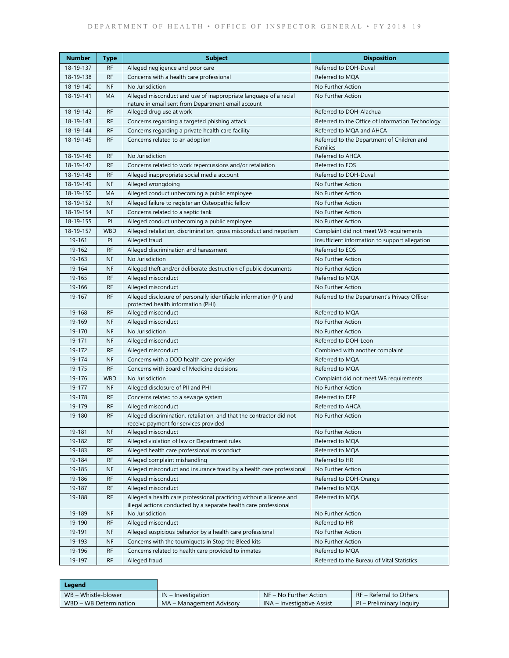| Number    | <b>Type</b> | <b>Subject</b>                                                                                                                          | <b>Disposition</b>                                     |
|-----------|-------------|-----------------------------------------------------------------------------------------------------------------------------------------|--------------------------------------------------------|
| 18-19-137 | <b>RF</b>   | Alleged negligence and poor care                                                                                                        | Referred to DOH-Duval                                  |
| 18-19-138 | <b>RF</b>   | Concerns with a health care professional                                                                                                | Referred to MQA                                        |
| 18-19-140 | <b>NF</b>   | No Jurisdiction                                                                                                                         | No Further Action                                      |
| 18-19-141 | MA          | Alleged misconduct and use of inappropriate language of a racial<br>nature in email sent from Department email account                  | No Further Action                                      |
| 18-19-142 | <b>RF</b>   | Alleged drug use at work                                                                                                                | Referred to DOH-Alachua                                |
| 18-19-143 | <b>RF</b>   | Concerns regarding a targeted phishing attack                                                                                           | Referred to the Office of Information Technology       |
| 18-19-144 | <b>RF</b>   | Concerns regarding a private health care facility                                                                                       | Referred to MQA and AHCA                               |
| 18-19-145 | <b>RF</b>   | Concerns related to an adoption                                                                                                         | Referred to the Department of Children and<br>Families |
| 18-19-146 | <b>RF</b>   | No Jurisdiction                                                                                                                         | Referred to AHCA                                       |
| 18-19-147 | <b>RF</b>   | Concerns related to work repercussions and/or retaliation                                                                               | Referred to EOS                                        |
| 18-19-148 | <b>RF</b>   | Alleged inappropriate social media account                                                                                              | Referred to DOH-Duval                                  |
| 18-19-149 | <b>NF</b>   | Alleged wrongdoing                                                                                                                      | No Further Action                                      |
| 18-19-150 | MA          | Alleged conduct unbecoming a public employee                                                                                            | No Further Action                                      |
| 18-19-152 | <b>NF</b>   | Alleged failure to register an Osteopathic fellow                                                                                       | No Further Action                                      |
| 18-19-154 | <b>NF</b>   | Concerns related to a septic tank                                                                                                       | No Further Action                                      |
| 18-19-155 | PI          | Alleged conduct unbecoming a public employee                                                                                            | No Further Action                                      |
| 18-19-157 | <b>WBD</b>  | Alleged retaliation, discrimination, gross misconduct and nepotism                                                                      | Complaint did not meet WB requirements                 |
| 19-161    | PI          | Alleged fraud                                                                                                                           | Insufficient information to support allegation         |
| 19-162    | <b>RF</b>   | Alleged discrimination and harassment                                                                                                   | Referred to EOS                                        |
| 19-163    | <b>NF</b>   | No Jurisdiction                                                                                                                         | No Further Action                                      |
| 19-164    | <b>NF</b>   | Alleged theft and/or deliberate destruction of public documents                                                                         | No Further Action                                      |
| 19-165    | RF          | Alleged misconduct                                                                                                                      | Referred to MOA                                        |
| 19-166    | <b>RF</b>   | Alleged misconduct                                                                                                                      | No Further Action                                      |
| 19-167    | <b>RF</b>   | Alleged disclosure of personally identifiable information (PII) and                                                                     | Referred to the Department's Privacy Officer           |
|           |             | protected health information (PHI)                                                                                                      |                                                        |
| 19-168    | <b>RF</b>   | Alleged misconduct                                                                                                                      | Referred to MQA                                        |
| 19-169    | <b>NF</b>   | Alleged misconduct                                                                                                                      | No Further Action                                      |
| 19-170    | <b>NF</b>   | No Jurisdiction                                                                                                                         | No Further Action                                      |
| 19-171    | <b>NF</b>   | Alleged misconduct                                                                                                                      | Referred to DOH-Leon                                   |
| 19-172    | RF          | Alleged misconduct                                                                                                                      | Combined with another complaint                        |
| 19-174    | <b>NF</b>   | Concerns with a DDD health care provider                                                                                                | Referred to MQA                                        |
| 19-175    | <b>RF</b>   | Concerns with Board of Medicine decisions                                                                                               | Referred to MQA                                        |
| 19-176    | <b>WBD</b>  | No Jurisdiction                                                                                                                         | Complaint did not meet WB requirements                 |
| 19-177    | <b>NF</b>   | Alleged disclosure of PII and PHI                                                                                                       | No Further Action                                      |
| 19-178    | <b>RF</b>   | Concerns related to a sewage system                                                                                                     | Referred to DEP                                        |
| 19-179    | <b>RF</b>   | Alleged misconduct                                                                                                                      | Referred to AHCA                                       |
| 19-180    | <b>RF</b>   | Alleged discrimination, retaliation, and that the contractor did not<br>receive payment for services provided                           | No Further Action                                      |
| 19-181    | <b>NF</b>   | Alleged misconduct                                                                                                                      | No Further Action                                      |
| 19-182    | <b>RF</b>   | Alleged violation of law or Department rules                                                                                            | Referred to MQA                                        |
| 19-183    | RF          | Alleged health care professional misconduct                                                                                             | Referred to MQA                                        |
| 19-184    | RF          | Alleged complaint mishandling                                                                                                           | Referred to HR                                         |
| 19-185    | <b>NF</b>   | Alleged misconduct and insurance fraud by a health care professional                                                                    | No Further Action                                      |
| 19-186    | RF          | Alleged misconduct                                                                                                                      | Referred to DOH-Orange                                 |
| 19-187    | RF          | Alleged misconduct                                                                                                                      | Referred to MQA                                        |
| 19-188    | <b>RF</b>   | Alleged a health care professional practicing without a license and<br>illegal actions conducted by a separate health care professional | Referred to MQA                                        |
| 19-189    | <b>NF</b>   | No Jurisdiction                                                                                                                         | No Further Action                                      |
| 19-190    | RF          | Alleged misconduct                                                                                                                      | Referred to HR                                         |
| 19-191    | <b>NF</b>   | Alleged suspicious behavior by a health care professional                                                                               | No Further Action                                      |
| 19-193    | <b>NF</b>   | Concerns with the tourniquets in Stop the Bleed kits                                                                                    | No Further Action                                      |
| 19-196    | <b>RF</b>   | Concerns related to health care provided to inmates                                                                                     | Referred to MQA                                        |
| 19-197    | <b>RF</b>   | Alleged fraud                                                                                                                           | Referred to the Bureau of Vital Statistics             |

| Legend                 |                          |                            |                          |
|------------------------|--------------------------|----------------------------|--------------------------|
| WB – Whistle-blower    | $IN$ – Investigation     | $N = No$ Further Action    | RF – Referral to Others  |
| WBD - WB Determination | MA – Management Advisory | INA – Investigative Assist | PI – Preliminary Inquiry |